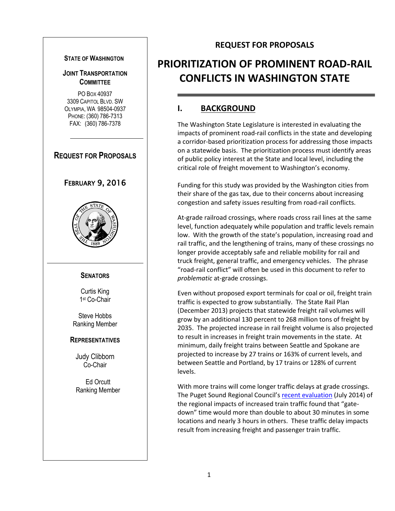#### **STATE OF WASHINGTON**

### **JOINT TRANSPORTATION COMMITTEE**

PO BOX 40937 3309 CAPITOL BLVD. SW OLYMPIA, WA 98504-0937 PHONE: (360) 786-7313 FAX: (360) 786-7378

**REQUEST FOR PROPOSALS**

### FEBRUARY 9, 2016



#### **SENATORS**

Curtis King 1 st Co-Chair

Steve Hobbs Ranking Member

#### **REPRESENTATIVES**

Judy Clibborn Co-Chair

Ed Orcutt Ranking Member

### **REQUEST FOR PROPOSALS**

# **PRIORITIZATION OF PROMINENT ROAD-RAIL CONFLICTS IN WASHINGTON STATE**

### **I. BACKGROUND**

The Washington State Legislature is interested in evaluating the impacts of prominent road-rail conflicts in the state and developing a corridor-based prioritization process for addressing those impacts on a statewide basis. The prioritization process must identify areas of public policy interest at the State and local level, including the critical role of freight movement to Washington's economy.

Funding for this study was provided by the Washington cities from their share of the gas tax, due to their concerns about increasing congestion and safety issues resulting from road-rail conflicts.

At-grade railroad crossings, where roads cross rail lines at the same level, function adequately while population and traffic levels remain low. With the growth of the state's population, increasing road and rail traffic, and the lengthening of trains, many of these crossings no longer provide acceptably safe and reliable mobility for rail and truck freight, general traffic, and emergency vehicles. The phrase "road-rail conflict" will often be used in this document to refer to *problematic* at-grade crossings.

Even without proposed export terminals for coal or oil, freight train traffic is expected to grow substantially. The State Rail Plan (December 2013) projects that statewide freight rail volumes will grow by an additional 130 percent to 268 million tons of freight by 2035. The projected increase in rail freight volume is also projected to result in increases in freight train movements in the state. At minimum, daily freight trains between Seattle and Spokane are projected to increase by 27 trains or 163% of current levels, and between Seattle and Portland, by 17 trains or 128% of current levels.

With more trains will come longer traffic delays at grade crossings. The Puget Sound Regional Council's [recent evaluation](http://www.psrc.org/assets/11744/StaffSummary.pdf?processed=true) (July 2014) of the regional impacts of increased train traffic found that "gatedown" time would more than double to about 30 minutes in some locations and nearly 3 hours in others. These traffic delay impacts result from increasing freight and passenger train traffic.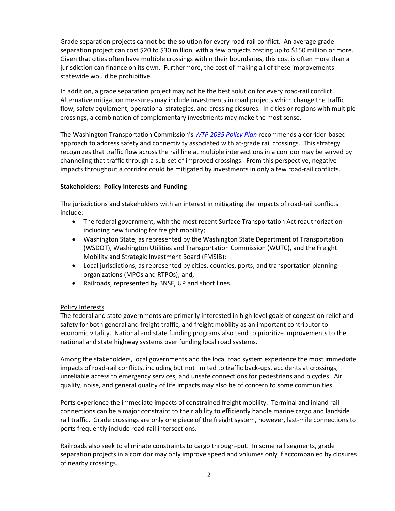Grade separation projects cannot be the solution for every road-rail conflict. An average grade separation project can cost \$20 to \$30 million, with a few projects costing up to \$150 million or more. Given that cities often have multiple crossings within their boundaries, this cost is often more than a jurisdiction can finance on its own. Furthermore, the cost of making all of these improvements statewide would be prohibitive.

In addition, a grade separation project may not be the best solution for every road-rail conflict. Alternative mitigation measures may include investments in road projects which change the traffic flow, safety equipment, operational strategies, and crossing closures. In cities or regions with multiple crossings, a combination of complementary investments may make the most sense.

The Washington Transportation Commission's *[WTP 2035 Policy Plan](https://wtp2035.files.wordpress.com/2015/01/wtp2035_final_21-jan-2015.pdf)* recommends a corridor-based approach to address safety and connectivity associated with at-grade rail crossings. This strategy recognizes that traffic flow across the rail line at multiple intersections in a corridor may be served by channeling that traffic through a sub-set of improved crossings. From this perspective, negative impacts throughout a corridor could be mitigated by investments in only a few road-rail conflicts.

#### **Stakeholders: Policy Interests and Funding**

The jurisdictions and stakeholders with an interest in mitigating the impacts of road-rail conflicts include:

- The federal government, with the most recent Surface Transportation Act reauthorization including new funding for freight mobility;
- Washington State, as represented by the Washington State Department of Transportation (WSDOT), Washington Utilities and Transportation Commission (WUTC), and the Freight Mobility and Strategic Investment Board (FMSIB);
- Local jurisdictions, as represented by cities, counties, ports, and transportation planning organizations (MPOs and RTPOs); and,
- Railroads, represented by BNSF, UP and short lines.

#### Policy Interests

The federal and state governments are primarily interested in high level goals of congestion relief and safety for both general and freight traffic, and freight mobility as an important contributor to economic vitality. National and state funding programs also tend to prioritize improvements to the national and state highway systems over funding local road systems.

Among the stakeholders, local governments and the local road system experience the most immediate impacts of road-rail conflicts, including but not limited to traffic back-ups, accidents at crossings, unreliable access to emergency services, and unsafe connections for pedestrians and bicycles. Air quality, noise, and general quality of life impacts may also be of concern to some communities.

Ports experience the immediate impacts of constrained freight mobility. Terminal and inland rail connections can be a major constraint to their ability to efficiently handle marine cargo and landside rail traffic. Grade crossings are only one piece of the freight system, however, last-mile connections to ports frequently include road-rail intersections.

Railroads also seek to eliminate constraints to cargo through-put. In some rail segments, grade separation projects in a corridor may only improve speed and volumes only if accompanied by closures of nearby crossings.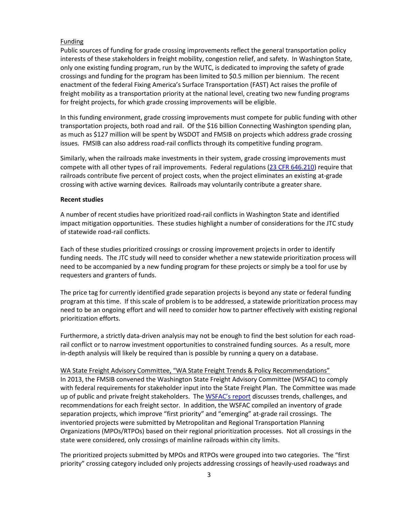#### Funding

Public sources of funding for grade crossing improvements reflect the general transportation policy interests of these stakeholders in freight mobility, congestion relief, and safety. In Washington State, only one existing funding program, run by the WUTC, is dedicated to improving the safety of grade crossings and funding for the program has been limited to \$0.5 million per biennium. The recent enactment of the federal Fixing America's Surface Transportation (FAST) Act raises the profile of freight mobility as a transportation priority at the national level, creating two new funding programs for freight projects, for which grade crossing improvements will be eligible.

In this funding environment, grade crossing improvements must compete for public funding with other transportation projects, both road and rail. Of the \$16 billion Connecting Washington spending plan, as much as \$127 million will be spent by WSDOT and FMSIB on projects which address grade crossing issues. FMSIB can also address road-rail conflicts through its competitive funding program.

Similarly, when the railroads make investments in their system, grade crossing improvements must compete with all other types of rail improvements. Federal regulations [\(23 CFR 646.210\)](https://www.law.cornell.edu/cfr/text/23/646.210) require that railroads contribute five percent of project costs, when the project eliminates an existing at-grade crossing with active warning devices. Railroads may voluntarily contribute a greater share.

#### **Recent studies**

A number of recent studies have prioritized road-rail conflicts in Washington State and identified impact mitigation opportunities. These studies highlight a number of considerations for the JTC study of statewide road-rail conflicts.

Each of these studies prioritized crossings or crossing improvement projects in order to identify funding needs. The JTC study will need to consider whether a new statewide prioritization process will need to be accompanied by a new funding program for these projects or simply be a tool for use by requesters and granters of funds.

The price tag for currently identified grade separation projects is beyond any state or federal funding program at this time. If this scale of problem is to be addressed, a statewide prioritization process may need to be an ongoing effort and will need to consider how to partner effectively with existing regional prioritization efforts.

Furthermore, a strictly data-driven analysis may not be enough to find the best solution for each roadrail conflict or to narrow investment opportunities to constrained funding sources. As a result, more in-depth analysis will likely be required than is possible by running a query on a database.

WA State Freight Advisory Committee, "WA State Freight Trends & Policy Recommendations" In 2013, the FMSIB convened the Washington State Freight Advisory Committee (WSFAC) to comply with federal requirements for stakeholder input into the State Freight Plan. The Committee was made up of public and private freight stakeholders. The [WSFAC's report](http://www.fmsib.wa.gov/fac/20140602-FINALComplete%20Folio_for%20printer5-7-14.pdf) discusses trends, challenges, and recommendations for each freight sector. In addition, the WSFAC compiled an inventory of grade separation projects, which improve "first priority" and "emerging" at-grade rail crossings. The inventoried projects were submitted by Metropolitan and Regional Transportation Planning Organizations (MPOs/RTPOs) based on their regional prioritization processes. Not all crossings in the state were considered, only crossings of mainline railroads within city limits.

The prioritized projects submitted by MPOs and RTPOs were grouped into two categories. The "first priority" crossing category included only projects addressing crossings of heavily-used roadways and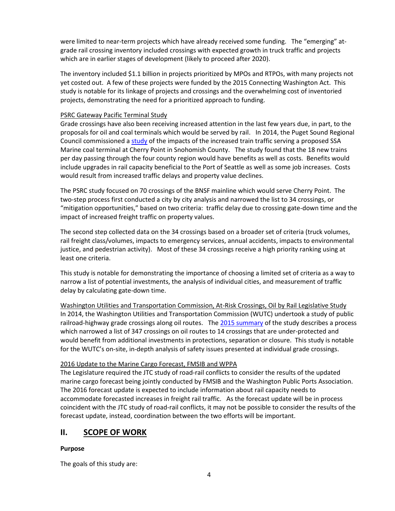were limited to near-term projects which have already received some funding. The "emerging" atgrade rail crossing inventory included crossings with expected growth in truck traffic and projects which are in earlier stages of development (likely to proceed after 2020).

The inventory included \$1.1 billion in projects prioritized by MPOs and RTPOs, with many projects not yet costed out. A few of these projects were funded by the 2015 Connecting Washington Act. This study is notable for its linkage of projects and crossings and the overwhelming cost of inventoried projects, demonstrating the need for a prioritized approach to funding.

#### PSRC Gateway Pacific Terminal Study

Grade crossings have also been receiving increased attention in the last few years due, in part, to the proposals for oil and coal terminals which would be served by rail. In 2014, the Puget Sound Regional Council commissioned a [study](http://www.psrc.org/transportation/gateway-pacific-terminal-economic-study) of the impacts of the increased train traffic serving a proposed SSA Marine coal terminal at Cherry Point in Snohomish County. The study found that the 18 new trains per day passing through the four county region would have benefits as well as costs. Benefits would include upgrades in rail capacity beneficial to the Port of Seattle as well as some job increases. Costs would result from increased traffic delays and property value declines.

The PSRC study focused on 70 crossings of the BNSF mainline which would serve Cherry Point. The two-step process first conducted a city by city analysis and narrowed the list to 34 crossings, or "mitigation opportunities," based on two criteria: traffic delay due to crossing gate-down time and the impact of increased freight traffic on property values.

The second step collected data on the 34 crossings based on a broader set of criteria (truck volumes, rail freight class/volumes, impacts to emergency services, annual accidents, impacts to environmental justice, and pedestrian activity). Most of these 34 crossings receive a high priority ranking using at least one criteria.

This study is notable for demonstrating the importance of choosing a limited set of criteria as a way to narrow a list of potential investments, the analysis of individual cities, and measurement of traffic delay by calculating gate-down time.

Washington Utilities and Transportation Commission, At-Risk Crossings, Oil by Rail Legislative Study In 2014, the Washington Utilities and Transportation Commission (WUTC) undertook a study of public railroad-highway grade crossings along oil routes. Th[e 2015 summary](http://leg.wa.gov/JTC/Pages/Resources-Road-Rail-Study.aspx) of the study describes a process which narrowed a list of 347 crossings on oil routes to 14 crossings that are under-protected and would benefit from additional investments in protections, separation or closure. This study is notable for the WUTC's on-site, in-depth analysis of safety issues presented at individual grade crossings.

#### 2016 Update to the Marine Cargo Forecast, FMSIB and WPPA

The Legislature required the JTC study of road-rail conflicts to consider the results of the updated marine cargo forecast being jointly conducted by FMSIB and the Washington Public Ports Association. The 2016 forecast update is expected to include information about rail capacity needs to accommodate forecasted increases in freight rail traffic. As the forecast update will be in process coincident with the JTC study of road-rail conflicts, it may not be possible to consider the results of the forecast update, instead, coordination between the two efforts will be important.

### **II. SCOPE OF WORK**

#### **Purpose**

The goals of this study are: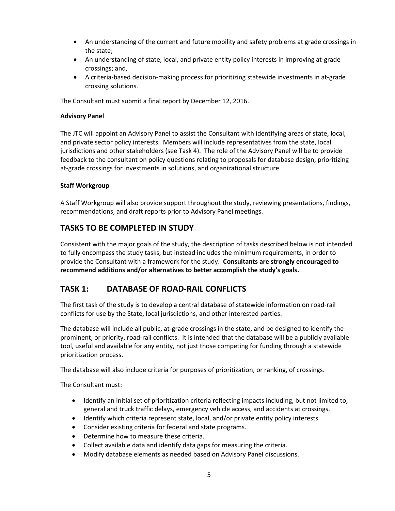- An understanding of the current and future mobility and safety problems at grade crossings in the state;
- An understanding of state, local, and private entity policy interests in improving at-grade crossings; and,
- A criteria-based decision-making process for prioritizing statewide investments in at-grade crossing solutions.

The Consultant must submit a final report by December 12, 2016.

#### **Advisory Panel**

The JTC will appoint an Advisory Panel to assist the Consultant with identifying areas of state, local, and private sector policy interests. Members will include representatives from the state, local jurisdictions and other stakeholders (see Task 4). The role of the Advisory Panel will be to provide feedback to the consultant on policy questions relating to proposals for database design, prioritizing at-grade crossings for investments in solutions, and organizational structure.

#### **Staff Workgroup**

A Staff Workgroup will also provide support throughout the study, reviewing presentations, findings, recommendations, and draft reports prior to Advisory Panel meetings.

### **TASKS TO BE COMPLETED IN STUDY**

Consistent with the major goals of the study, the description of tasks described below is not intended to fully encompass the study tasks, but instead includes the minimum requirements, in order to provide the Consultant with a framework for the study. **Consultants are strongly encouraged to recommend additions and/or alternatives to better accomplish the study's goals.**

### **TASK 1: DATABASE OF ROAD-RAIL CONFLICTS**

The first task of the study is to develop a central database of statewide information on road-rail conflicts for use by the State, local jurisdictions, and other interested parties.

The database will include all public, at-grade crossings in the state, and be designed to identify the prominent, or priority, road-rail conflicts. It is intended that the database will be a publicly available tool, useful and available for any entity, not just those competing for funding through a statewide prioritization process.

The database will also include criteria for purposes of prioritization, or ranking, of crossings.

The Consultant must:

- Identify an initial set of prioritization criteria reflecting impacts including, but not limited to, general and truck traffic delays, emergency vehicle access, and accidents at crossings.
- Identify which criteria represent state, local, and/or private entity policy interests.
- Consider existing criteria for federal and state programs.
- Determine how to measure these criteria.
- Collect available data and identify data gaps for measuring the criteria.
- Modify database elements as needed based on Advisory Panel discussions.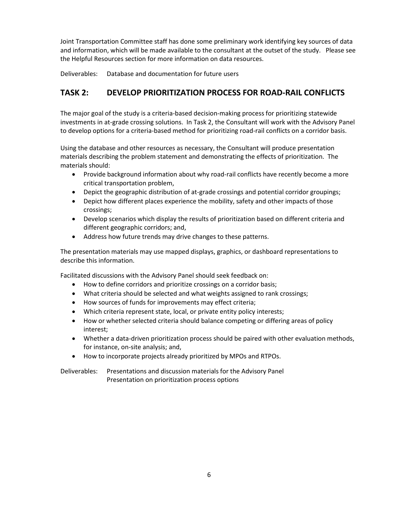Joint Transportation Committee staff has done some preliminary work identifying key sources of data and information, which will be made available to the consultant at the outset of the study. Please see the Helpful Resources section for more information on data resources.

Deliverables: Database and documentation for future users

## **TASK 2: DEVELOP PRIORITIZATION PROCESS FOR ROAD-RAIL CONFLICTS**

The major goal of the study is a criteria-based decision-making process for prioritizing statewide investments in at-grade crossing solutions. In Task 2, the Consultant will work with the Advisory Panel to develop options for a criteria-based method for prioritizing road-rail conflicts on a corridor basis.

Using the database and other resources as necessary, the Consultant will produce presentation materials describing the problem statement and demonstrating the effects of prioritization. The materials should:

- Provide background information about why road-rail conflicts have recently become a more critical transportation problem,
- Depict the geographic distribution of at-grade crossings and potential corridor groupings;
- Depict how different places experience the mobility, safety and other impacts of those crossings;
- Develop scenarios which display the results of prioritization based on different criteria and different geographic corridors; and,
- Address how future trends may drive changes to these patterns.

The presentation materials may use mapped displays, graphics, or dashboard representations to describe this information.

Facilitated discussions with the Advisory Panel should seek feedback on:

- How to define corridors and prioritize crossings on a corridor basis;
- What criteria should be selected and what weights assigned to rank crossings;
- How sources of funds for improvements may effect criteria;
- Which criteria represent state, local, or private entity policy interests;
- How or whether selected criteria should balance competing or differing areas of policy interest;
- Whether a data-driven prioritization process should be paired with other evaluation methods, for instance, on-site analysis; and,
- How to incorporate projects already prioritized by MPOs and RTPOs.

Deliverables: Presentations and discussion materials for the Advisory Panel Presentation on prioritization process options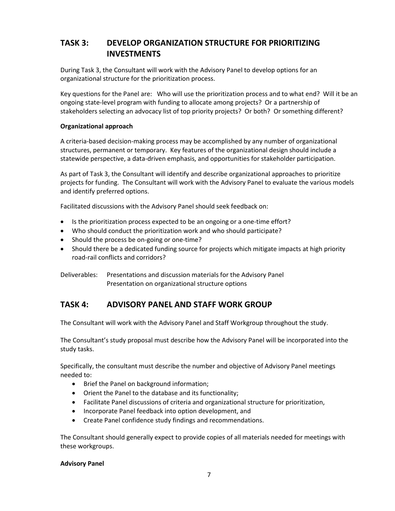## **TASK 3: DEVELOP ORGANIZATION STRUCTURE FOR PRIORITIZING INVESTMENTS**

During Task 3, the Consultant will work with the Advisory Panel to develop options for an organizational structure for the prioritization process.

Key questions for the Panel are: Who will use the prioritization process and to what end? Will it be an ongoing state-level program with funding to allocate among projects? Or a partnership of stakeholders selecting an advocacy list of top priority projects? Or both? Or something different?

#### **Organizational approach**

A criteria-based decision-making process may be accomplished by any number of organizational structures, permanent or temporary. Key features of the organizational design should include a statewide perspective, a data-driven emphasis, and opportunities for stakeholder participation.

As part of Task 3, the Consultant will identify and describe organizational approaches to prioritize projects for funding. The Consultant will work with the Advisory Panel to evaluate the various models and identify preferred options.

Facilitated discussions with the Advisory Panel should seek feedback on:

- Is the prioritization process expected to be an ongoing or a one-time effort?
- Who should conduct the prioritization work and who should participate?
- Should the process be on-going or one-time?
- Should there be a dedicated funding source for projects which mitigate impacts at high priority road-rail conflicts and corridors?

Deliverables: Presentations and discussion materials for the Advisory Panel Presentation on organizational structure options

### **TASK 4: ADVISORY PANEL AND STAFF WORK GROUP**

The Consultant will work with the Advisory Panel and Staff Workgroup throughout the study.

The Consultant's study proposal must describe how the Advisory Panel will be incorporated into the study tasks.

Specifically, the consultant must describe the number and objective of Advisory Panel meetings needed to:

- Brief the Panel on background information;
- Orient the Panel to the database and its functionality;
- Facilitate Panel discussions of criteria and organizational structure for prioritization,
- Incorporate Panel feedback into option development, and
- Create Panel confidence study findings and recommendations.

The Consultant should generally expect to provide copies of all materials needed for meetings with these workgroups.

#### **Advisory Panel**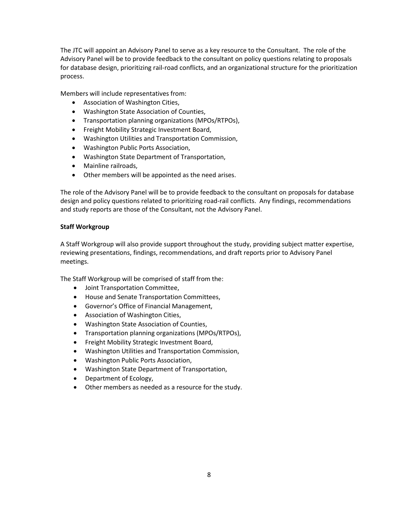The JTC will appoint an Advisory Panel to serve as a key resource to the Consultant. The role of the Advisory Panel will be to provide feedback to the consultant on policy questions relating to proposals for database design, prioritizing rail-road conflicts, and an organizational structure for the prioritization process.

Members will include representatives from:

- Association of Washington Cities,
- Washington State Association of Counties,
- Transportation planning organizations (MPOs/RTPOs),
- **•** Freight Mobility Strategic Investment Board,
- Washington Utilities and Transportation Commission,
- Washington Public Ports Association,
- Washington State Department of Transportation,
- Mainline railroads,
- Other members will be appointed as the need arises.

The role of the Advisory Panel will be to provide feedback to the consultant on proposals for database design and policy questions related to prioritizing road-rail conflicts. Any findings, recommendations and study reports are those of the Consultant, not the Advisory Panel.

#### **Staff Workgroup**

A Staff Workgroup will also provide support throughout the study, providing subject matter expertise, reviewing presentations, findings, recommendations, and draft reports prior to Advisory Panel meetings.

The Staff Workgroup will be comprised of staff from the:

- Joint Transportation Committee,
- House and Senate Transportation Committees,
- Governor's Office of Financial Management,
- Association of Washington Cities,
- Washington State Association of Counties,
- Transportation planning organizations (MPOs/RTPOs),
- Freight Mobility Strategic Investment Board,
- Washington Utilities and Transportation Commission,
- Washington Public Ports Association,
- Washington State Department of Transportation,
- Department of Ecology,
- Other members as needed as a resource for the study.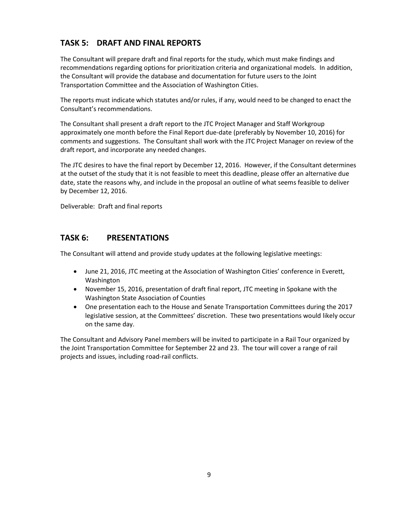# **TASK 5: DRAFT AND FINAL REPORTS**

The Consultant will prepare draft and final reports for the study, which must make findings and recommendations regarding options for prioritization criteria and organizational models. In addition, the Consultant will provide the database and documentation for future users to the Joint Transportation Committee and the Association of Washington Cities.

The reports must indicate which statutes and/or rules, if any, would need to be changed to enact the Consultant's recommendations.

The Consultant shall present a draft report to the JTC Project Manager and Staff Workgroup approximately one month before the Final Report due-date (preferably by November 10, 2016) for comments and suggestions. The Consultant shall work with the JTC Project Manager on review of the draft report, and incorporate any needed changes.

The JTC desires to have the final report by December 12, 2016. However, if the Consultant determines at the outset of the study that it is not feasible to meet this deadline, please offer an alternative due date, state the reasons why, and include in the proposal an outline of what seems feasible to deliver by December 12, 2016.

Deliverable: Draft and final reports

### **TASK 6: PRESENTATIONS**

The Consultant will attend and provide study updates at the following legislative meetings:

- June 21, 2016, JTC meeting at the Association of Washington Cities' conference in Everett, Washington
- November 15, 2016, presentation of draft final report, JTC meeting in Spokane with the Washington State Association of Counties
- One presentation each to the House and Senate Transportation Committees during the 2017 legislative session, at the Committees' discretion. These two presentations would likely occur on the same day.

The Consultant and Advisory Panel members will be invited to participate in a Rail Tour organized by the Joint Transportation Committee for September 22 and 23. The tour will cover a range of rail projects and issues, including road-rail conflicts.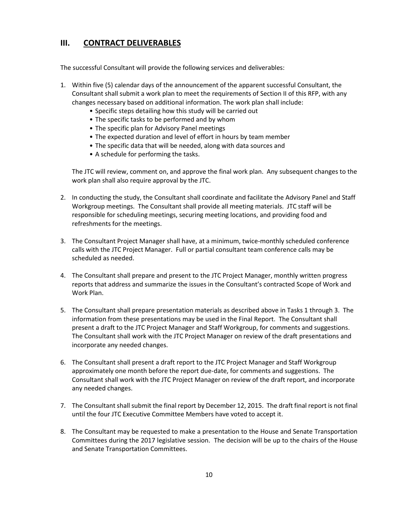### **III. CONTRACT DELIVERABLES**

The successful Consultant will provide the following services and deliverables:

- 1. Within five (5) calendar days of the announcement of the apparent successful Consultant, the Consultant shall submit a work plan to meet the requirements of Section II of this RFP, with any changes necessary based on additional information. The work plan shall include:
	- Specific steps detailing how this study will be carried out
	- The specific tasks to be performed and by whom
	- The specific plan for Advisory Panel meetings
	- The expected duration and level of effort in hours by team member
	- The specific data that will be needed, along with data sources and
	- A schedule for performing the tasks.

The JTC will review, comment on, and approve the final work plan. Any subsequent changes to the work plan shall also require approval by the JTC.

- 2. In conducting the study, the Consultant shall coordinate and facilitate the Advisory Panel and Staff Workgroup meetings. The Consultant shall provide all meeting materials. JTC staff will be responsible for scheduling meetings, securing meeting locations, and providing food and refreshments for the meetings.
- 3. The Consultant Project Manager shall have, at a minimum, twice-monthly scheduled conference calls with the JTC Project Manager. Full or partial consultant team conference calls may be scheduled as needed.
- 4. The Consultant shall prepare and present to the JTC Project Manager, monthly written progress reports that address and summarize the issues in the Consultant's contracted Scope of Work and Work Plan.
- 5. The Consultant shall prepare presentation materials as described above in Tasks 1 through 3. The information from these presentations may be used in the Final Report. The Consultant shall present a draft to the JTC Project Manager and Staff Workgroup, for comments and suggestions. The Consultant shall work with the JTC Project Manager on review of the draft presentations and incorporate any needed changes.
- 6. The Consultant shall present a draft report to the JTC Project Manager and Staff Workgroup approximately one month before the report due-date, for comments and suggestions. The Consultant shall work with the JTC Project Manager on review of the draft report, and incorporate any needed changes.
- 7. The Consultant shall submit the final report by December 12, 2015. The draft final report is not final until the four JTC Executive Committee Members have voted to accept it.
- 8. The Consultant may be requested to make a presentation to the House and Senate Transportation Committees during the 2017 legislative session. The decision will be up to the chairs of the House and Senate Transportation Committees.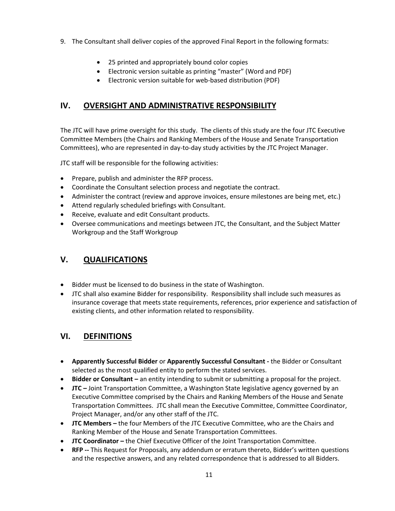- 9. The Consultant shall deliver copies of the approved Final Report in the following formats:
	- 25 printed and appropriately bound color copies
	- Electronic version suitable as printing "master" (Word and PDF)
	- Electronic version suitable for web-based distribution (PDF)

## **IV. OVERSIGHT AND ADMINISTRATIVE RESPONSIBILITY**

The JTC will have prime oversight for this study. The clients of this study are the four JTC Executive Committee Members (the Chairs and Ranking Members of the House and Senate Transportation Committees), who are represented in day-to-day study activities by the JTC Project Manager.

JTC staff will be responsible for the following activities:

- Prepare, publish and administer the RFP process.
- Coordinate the Consultant selection process and negotiate the contract.
- Administer the contract (review and approve invoices, ensure milestones are being met, etc.)
- Attend regularly scheduled briefings with Consultant.
- Receive, evaluate and edit Consultant products.
- Oversee communications and meetings between JTC, the Consultant, and the Subject Matter Workgroup and the Staff Workgroup

## **V. QUALIFICATIONS**

- Bidder must be licensed to do business in the state of Washington.
- JTC shall also examine Bidder for responsibility. Responsibility shall include such measures as insurance coverage that meets state requirements, references, prior experience and satisfaction of existing clients, and other information related to responsibility.

### **VI. DEFINITIONS**

- **Apparently Successful Bidder** or **Apparently Successful Consultant -** the Bidder or Consultant selected as the most qualified entity to perform the stated services.
- **Bidder or Consultant –** an entity intending to submit or submitting a proposal for the project.
- **JTC –** Joint Transportation Committee, a Washington State legislative agency governed by an Executive Committee comprised by the Chairs and Ranking Members of the House and Senate Transportation Committees. JTC shall mean the Executive Committee, Committee Coordinator, Project Manager, and/or any other staff of the JTC.
- **JTC Members –** the four Members of the JTC Executive Committee, who are the Chairs and Ranking Member of the House and Senate Transportation Committees.
- **JTC Coordinator** the Chief Executive Officer of the Joint Transportation Committee.
- **RFP --** This Request for Proposals, any addendum or erratum thereto, Bidder's written questions and the respective answers, and any related correspondence that is addressed to all Bidders.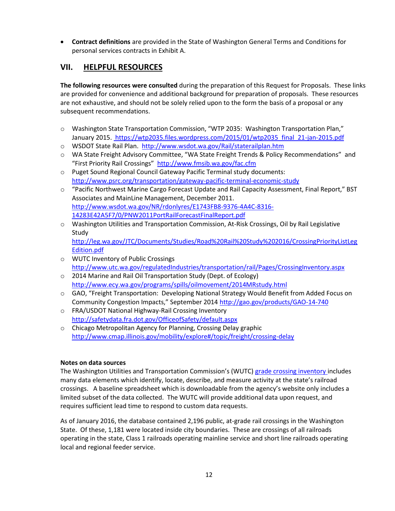**Contract definitions** are provided in the State of Washington General Terms and Conditions for personal services contracts in Exhibit A.

### **VII. HELPFUL RESOURCES**

**The following resources were consulted** during the preparation of this Request for Proposals. These links are provided for convenience and additional background for preparation of proposals. These resources are not exhaustive, and should not be solely relied upon to the form the basis of a proposal or any subsequent recommendations.

- o Washington State Transportation Commission, "WTP 2035: Washington Transportation Plan," January 2015. https://wtp2035.files.wordpress.com/2015/01/wtp2035\_final\_21-jan-2015.pdf
- o WSDOT State Rail Plan. <http://www.wsdot.wa.gov/Rail/staterailplan.htm>
- o WA State Freight Advisory Committee, "WA State Freight Trends & Policy Recommendations" and "First Priority Rail Crossings" <http://www.fmsib.wa.gov/fac.cfm>
- o Puget Sound Regional Council Gateway Pacific Terminal study documents: <http://www.psrc.org/transportation/gateway-pacific-terminal-economic-study>
- o "Pacific Northwest Marine Cargo Forecast Update and Rail Capacity Assessment, Final Report," BST Associates and MainLine Management, December 2011. [http://www.wsdot.wa.gov/NR/rdonlyres/E1743FB8-9376-4A4C-8316-](http://www.wsdot.wa.gov/NR/rdonlyres/E1743FB8-9376-4A4C-8316-14283E42A5F7/0/PNW2011PortRailForecastFinalReport.pdf) [14283E42A5F7/0/PNW2011PortRailForecastFinalReport.pdf](http://www.wsdot.wa.gov/NR/rdonlyres/E1743FB8-9376-4A4C-8316-14283E42A5F7/0/PNW2011PortRailForecastFinalReport.pdf)
- o Washington Utilities and Transportation Commission, At-Risk Crossings, Oil by Rail Legislative Study [http://leg.wa.gov/JTC/Documents/Studies/Road%20Rail%20Study%202016/CrossingPriorityListLeg](http://leg.wa.gov/JTC/Documents/Studies/Road%20Rail%20Study%202016/CrossingPriorityListLegEdition.pdf) [Edition.pdf](http://leg.wa.gov/JTC/Documents/Studies/Road%20Rail%20Study%202016/CrossingPriorityListLegEdition.pdf)
- o WUTC Inventory of Public Crossings <http://www.utc.wa.gov/regulatedIndustries/transportation/rail/Pages/CrossingInventory.aspx>
- o 2014 Marine and Rail Oil Transportation Study (Dept. of Ecology) <http://www.ecy.wa.gov/programs/spills/oilmovement/2014MRstudy.html>
- $\circ$  GAO, "Freight Transportation: Developing National Strategy Would Benefit from Added Focus on Community Congestion Impacts," September 2014 <http://gao.gov/products/GAO-14-740>
- o FRA/USDOT National Highway-Rail Crossing Inventory <http://safetydata.fra.dot.gov/OfficeofSafety/default.aspx>
- o Chicago Metropolitan Agency for Planning, Crossing Delay graphic <http://www.cmap.illinois.gov/mobility/explore#/topic/freight/crossing-delay>

#### **Notes on data sources**

The Washington Utilities and Transportation Commission's (WUTC) [grade crossing inventory i](http://www.utc.wa.gov/regulatedIndustries/transportation/rail/Pages/CrossingInventory.aspx)ncludes many data elements which identify, locate, describe, and measure activity at the state's railroad crossings. A baseline spreadsheet which is downloadable from the agency's website only includes a limited subset of the data collected. The WUTC will provide additional data upon request, and requires sufficient lead time to respond to custom data requests.

As of January 2016, the database contained 2,196 public, at-grade rail crossings in the Washington State. Of these, 1,181 were located inside city boundaries. These are crossings of all railroads operating in the state, Class 1 railroads operating mainline service and short line railroads operating local and regional feeder service.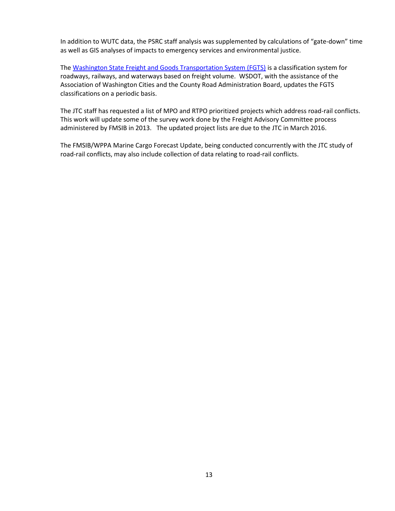In addition to WUTC data, the PSRC staff analysis was supplemented by calculations of "gate-down" time as well as GIS analyses of impacts to emergency services and environmental justice.

Th[e Washington State Freight and Goods Transportation System \(FGTS\)](http://www.wsdot.wa.gov/Freight/FGTS/) is a classification system for roadways, railways, and waterways based on freight volume. WSDOT, with the assistance of the Association of Washington Cities and the County Road Administration Board, updates the FGTS classifications on a periodic basis.

The JTC staff has requested a list of MPO and RTPO prioritized projects which address road-rail conflicts. This work will update some of the survey work done by the Freight Advisory Committee process administered by FMSIB in 2013. The updated project lists are due to the JTC in March 2016.

The FMSIB/WPPA Marine Cargo Forecast Update, being conducted concurrently with the JTC study of road-rail conflicts, may also include collection of data relating to road-rail conflicts.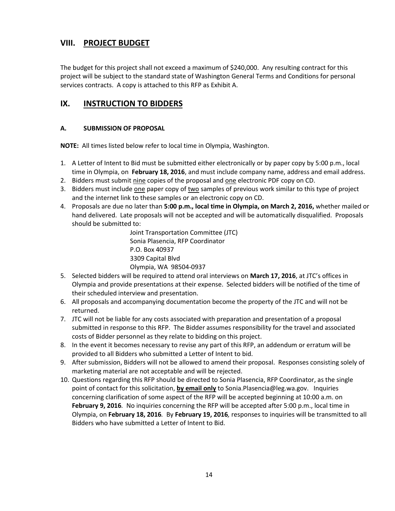### **VIII. PROJECT BUDGET**

The budget for this project shall not exceed a maximum of \$240,000. Any resulting contract for this project will be subject to the standard state of Washington General Terms and Conditions for personal services contracts. A copy is attached to this RFP as Exhibit A.

# **IX. INSTRUCTION TO BIDDERS**

### **A. SUBMISSION OF PROPOSAL**

**NOTE:** All times listed below refer to local time in Olympia, Washington.

- 1. A Letter of Intent to Bid must be submitted either electronically or by paper copy by 5:00 p.m., local time in Olympia, on **February 18, 2016**, and must include company name, address and email address.
- 2. Bidders must submit nine copies of the proposal and one electronic PDF copy on CD.
- 3. Bidders must include one paper copy of two samples of previous work similar to this type of project and the internet link to these samples or an electronic copy on CD.
- 4. Proposals are due no later than **5:00 p.m., local time in Olympia, on March 2, 2016,** whether mailed or hand delivered. Late proposals will not be accepted and will be automatically disqualified. Proposals should be submitted to:

Joint Transportation Committee (JTC) Sonia Plasencia, RFP Coordinator P.O. Box 40937 3309 Capital Blvd Olympia, WA 98504-0937

- 5. Selected bidders will be required to attend oral interviews on **March 17, 2016**, at JTC's offices in Olympia and provide presentations at their expense. Selected bidders will be notified of the time of their scheduled interview and presentation.
- 6. All proposals and accompanying documentation become the property of the JTC and will not be returned.
- 7. JTC will not be liable for any costs associated with preparation and presentation of a proposal submitted in response to this RFP. The Bidder assumes responsibility for the travel and associated costs of Bidder personnel as they relate to bidding on this project.
- 8. In the event it becomes necessary to revise any part of this RFP, an addendum or erratum will be provided to all Bidders who submitted a Letter of Intent to bid.
- 9. After submission, Bidders will not be allowed to amend their proposal. Responses consisting solely of marketing material are not acceptable and will be rejected.
- 10. Questions regarding this RFP should be directed to Sonia Plasencia, RFP Coordinator, as the single point of contact for this solicitation, **by email only** to Sonia.Plasencia@leg.wa.gov. Inquiries concerning clarification of some aspect of the RFP will be accepted beginning at 10:00 a.m. on **February 9, 2016***.* No inquiries concerning the RFP will be accepted after 5:00 p.m., local time in Olympia, on **February 18, 2016***.* By **February 19, 2016***,* responses to inquiries will be transmitted to all Bidders who have submitted a Letter of Intent to Bid.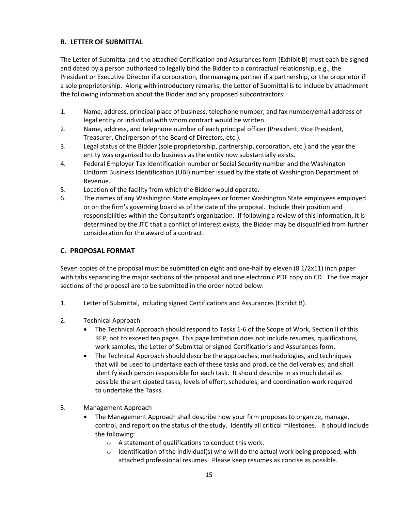### **B. LETTER OF SUBMITTAL**

The Letter of Submittal and the attached Certification and Assurances form (Exhibit B) must each be signed and dated by a person authorized to legally bind the Bidder to a contractual relationship, e.g., the President or Executive Director if a corporation, the managing partner if a partnership, or the proprietor if a sole proprietorship. Along with introductory remarks, the Letter of Submittal is to include by attachment the following information about the Bidder and any proposed subcontractors:

- 1. Name, address, principal place of business, telephone number, and fax number/email address of legal entity or individual with whom contract would be written.
- 2. Name, address, and telephone number of each principal officer (President, Vice President, Treasurer, Chairperson of the Board of Directors, etc.).
- 3. Legal status of the Bidder (sole proprietorship, partnership, corporation, etc.) and the year the entity was organized to do business as the entity now substantially exists.
- 4. Federal Employer Tax Identification number or Social Security number and the Washington Uniform Business Identification (UBI) number issued by the state of Washington Department of Revenue.
- 5. Location of the facility from which the Bidder would operate.
- 6. The names of any Washington State employees or former Washington State employees employed or on the firm's governing board as of the date of the proposal. Include their position and responsibilities within the Consultant's organization. If following a review of this information, it is determined by the JTC that a conflict of interest exists, the Bidder may be disqualified from further consideration for the award of a contract.

### **C. PROPOSAL FORMAT**

Seven copies of the proposal must be submitted on eight and one-half by eleven (8 1/2x11) inch paper with tabs separating the major sections of the proposal and one electronic PDF copy on CD. The five major sections of the proposal are to be submitted in the order noted below:

- 1. Letter of Submittal, including signed Certifications and Assurances (Exhibit B).
- 2. Technical Approach
	- The Technical Approach should respond to Tasks 1-6 of the Scope of Work, Section ll of this RFP, not to exceed ten pages. This page limitation does not include resumes, qualifications, work samples, the Letter of Submittal or signed Certifications and Assurances form.
	- The Technical Approach should describe the approaches, methodologies, and techniques that will be used to undertake each of these tasks and produce the deliverables; and shall identify each person responsible for each task. It should describe in as much detail as possible the anticipated tasks, levels of effort, schedules, and coordination work required to undertake the Tasks.
- 3. Management Approach
	- The Management Approach shall describe how your firm proposes to organize, manage, control, and report on the status of the study. Identify all critical milestones. It should include the following:
		- o A statement of qualifications to conduct this work.
		- $\circ$  Identification of the individual(s) who will do the actual work being proposed, with attached professional resumes. Please keep resumes as concise as possible.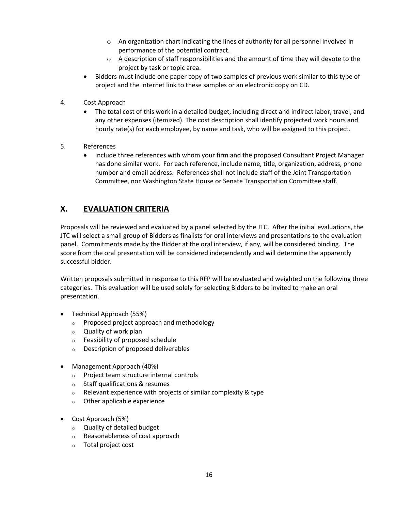- o An organization chart indicating the lines of authority for all personnel involved in performance of the potential contract.
- $\circ$  A description of staff responsibilities and the amount of time they will devote to the project by task or topic area.
- Bidders must include one paper copy of two samples of previous work similar to this type of project and the Internet link to these samples or an electronic copy on CD.
- 4. Cost Approach
	- The total cost of this work in a detailed budget, including direct and indirect labor, travel, and any other expenses (itemized). The cost description shall identify projected work hours and hourly rate(s) for each employee, by name and task, who will be assigned to this project.
- 5. References
	- Include three references with whom your firm and the proposed Consultant Project Manager has done similar work. For each reference, include name, title, organization, address, phone number and email address. References shall not include staff of the Joint Transportation Committee, nor Washington State House or Senate Transportation Committee staff.

# **X. EVALUATION CRITERIA**

Proposals will be reviewed and evaluated by a panel selected by the JTC. After the initial evaluations, the JTC will select a small group of Bidders as finalists for oral interviews and presentations to the evaluation panel. Commitments made by the Bidder at the oral interview, if any, will be considered binding. The score from the oral presentation will be considered independently and will determine the apparently successful bidder.

Written proposals submitted in response to this RFP will be evaluated and weighted on the following three categories. This evaluation will be used solely for selecting Bidders to be invited to make an oral presentation.

- Technical Approach (55%)
	- o Proposed project approach and methodology
	- o Quality of work plan
	- o Feasibility of proposed schedule
	- o Description of proposed deliverables
- Management Approach (40%)
	- o Project team structure internal controls
	- o Staff qualifications & resumes
	- $\circ$  Relevant experience with projects of similar complexity & type
	- o Other applicable experience
- Cost Approach (5%)
	- o Quality of detailed budget
	- o Reasonableness of cost approach
	- o Total project cost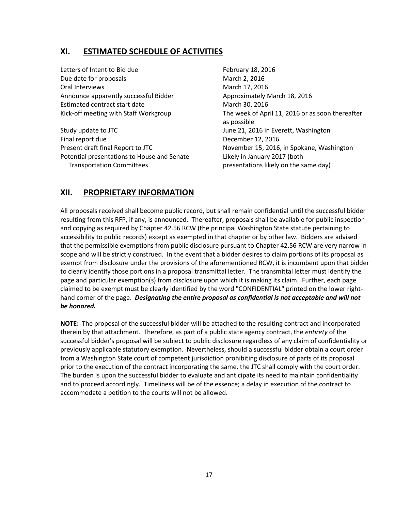### **XI. ESTIMATED SCHEDULE OF ACTIVITIES**

Letters of Intent to Bid due **February 18, 2016** Due date for proposals March 2, 2016 Oral Interviews **March 17, 2016** March 17, 2016 Announce apparently successful Bidder Approximately March 18, 2016 Estimated contract start date March 30, 2016

Study update to JTC **Study update to JTC** June 21, 2016 in Everett, Washington Final report due December 12, 2016 Potential presentations to House and Senate Likely in January 2017 (both Transportation Committees presentations likely on the same day)

Kick-off meeting with Staff Workgroup The week of April 11, 2016 or as soon thereafter as possible Present draft final Report to JTC November 15, 2016, in Spokane, Washington

# **XII. PROPRIETARY INFORMATION**

All proposals received shall become public record, but shall remain confidential until the successful bidder resulting from this RFP, if any, is announced. Thereafter, proposals shall be available for public inspection and copying as required by Chapter 42.56 RCW (the principal Washington State statute pertaining to accessibility to public records) except as exempted in that chapter or by other law. Bidders are advised that the permissible exemptions from public disclosure pursuant to Chapter 42.56 RCW are very narrow in scope and will be strictly construed. In the event that a bidder desires to claim portions of its proposal as exempt from disclosure under the provisions of the aforementioned RCW, it is incumbent upon that bidder to clearly identify those portions in a proposal transmittal letter. The transmittal letter must identify the page and particular exemption(s) from disclosure upon which it is making its claim. Further, each page claimed to be exempt must be clearly identified by the word "CONFIDENTIAL" printed on the lower righthand corner of the page. *Designating the entire proposal as confidential is not acceptable and will not be honored.*

**NOTE:** The proposal of the successful bidder will be attached to the resulting contract and incorporated therein by that attachment. Therefore, as part of a public state agency contract, the *entirety* of the successful bidder's proposal will be subject to public disclosure regardless of any claim of confidentiality or previously applicable statutory exemption. Nevertheless, should a successful bidder obtain a court order from a Washington State court of competent jurisdiction prohibiting disclosure of parts of its proposal prior to the execution of the contract incorporating the same, the JTC shall comply with the court order. The burden is upon the successful bidder to evaluate and anticipate its need to maintain confidentiality and to proceed accordingly. Timeliness will be of the essence; a delay in execution of the contract to accommodate a petition to the courts will not be allowed.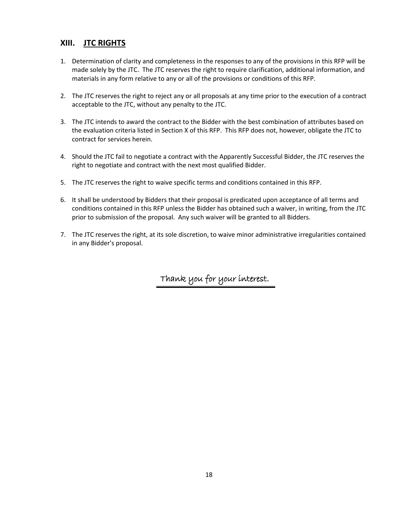### **XIII. JTC RIGHTS**

- 1. Determination of clarity and completeness in the responses to any of the provisions in this RFP will be made solely by the JTC. The JTC reserves the right to require clarification, additional information, and materials in any form relative to any or all of the provisions or conditions of this RFP.
- 2. The JTC reserves the right to reject any or all proposals at any time prior to the execution of a contract acceptable to the JTC, without any penalty to the JTC.
- 3. The JTC intends to award the contract to the Bidder with the best combination of attributes based on the evaluation criteria listed in Section X of this RFP. This RFP does not, however, obligate the JTC to contract for services herein.
- 4. Should the JTC fail to negotiate a contract with the Apparently Successful Bidder, the JTC reserves the right to negotiate and contract with the next most qualified Bidder.
- 5. The JTC reserves the right to waive specific terms and conditions contained in this RFP.
- 6. It shall be understood by Bidders that their proposal is predicated upon acceptance of all terms and conditions contained in this RFP unless the Bidder has obtained such a waiver, in writing, from the JTC prior to submission of the proposal. Any such waiver will be granted to all Bidders.
- 7. The JTC reserves the right, at its sole discretion, to waive minor administrative irregularities contained in any Bidder's proposal.

Thank you for your interest.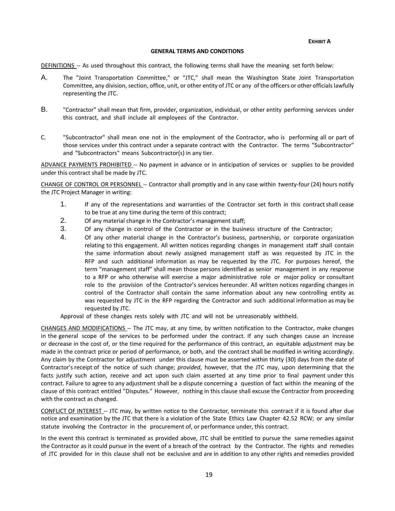**EXHIBIT A**

#### **GENERAL TERMS AND CONDITIONS**

DEFINITIONS -- As used throughout this contract, the following terms shall have the meaning set forth below:

- A. The "Joint Transportation Committee," or "JTC," shall mean the Washington State Joint Transportation Committee, any division, section, office, unit, or other entity of JTC or any of the officers or other officialslawfully representing the JTC.
- B. "Contractor" shall mean that firm, provider, organization, individual, or other entity performing services under this contract, and shall include all employees of the Contractor.
- C. "Subcontractor" shall mean one not in the employment of the Contractor, who is performing all or part of those services under this contract under a separate contract with the Contractor. The terms "Subcontractor" and "Subcontractors" means Subcontractor(s) in any tier.

ADVANCE PAYMENTS PROHIBITED -- No payment in advance or in anticipation of services or supplies to be provided under this contract shall be made by JTC.

CHANGE OF CONTROL OR PERSONNEL -- Contractor shall promptly and in any case within twenty-four (24) hours notify the JTC Project Manager in writing:

- 1. If any of the representations and warranties of the Contractor set forth in this contract shall cease to be true at any time during the term of this contract;
- 2. Of any material change in the Contractor's management staff;
- 3. Of any change in control of the Contractor or in the business structure of the Contractor;
- 4. Of any other material change in the Contractor's business, partnership, or corporate organization relating to this engagement. All written notices regarding changes in management staff shall contain the same information about newly assigned management staff as was requested by JTC in the RFP and such additional information as may be requested by the JTC. For purposes hereof, the term "management staff" shall mean those persons identified as senior management in any response to a RFP or who otherwise will exercise a major administrative role or major policy or consultant role to the provision of the Contractor's services hereunder. All written notices regarding changes in control of the Contractor shall contain the same information about any new controlling entity as was requested by JTC in the RFP regarding the Contractor and such additional information as may be requested by JTC.

Approval of these changes rests solely with JTC and will not be unreasonably withheld.

CHANGES AND MODIFICATIONS -- The JTC may, at any time, by written notification to the Contractor, make changes in the general scope of the services to be performed under the contract. If any such changes cause an increase or decrease in the cost of, or the time required for the performance of this contract, an equitable adjustment may be made in the contract price or period of performance, or both, and the contract shall be modified in writing accordingly. Any claim by the Contractor for adjustment under this clause must be asserted within thirty (30) days from the date of Contractor's receipt of the notice of such change; *provided*, however, that the JTC may, upon determining that the facts justify such action, receive and act upon such claim asserted at any time prior to final payment under this contract. Failure to agree to any adjustment shall be a dispute concerning a question of fact within the meaning of the clause of this contract entitled "Disputes." However, nothing in this clause shall excuse the Contractor from proceeding with the contract as changed.

CONFLICT OF INTEREST -- JTC may, by written notice to the Contractor, terminate this contract if it is found after due notice and examination by the JTC that there is a violation of the State Ethics Law Chapter 42.52 RCW; or any similar statute involving the Contractor in the procurement of, or performance under, this contract.

In the event this contract is terminated as provided above, JTC shall be entitled to pursue the same remedies against the Contractor as it could pursue in the event of a breach of the contract by the Contractor. The rights and remedies of JTC provided for in this clause shall not be exclusive and are in addition to any other rights and remedies provided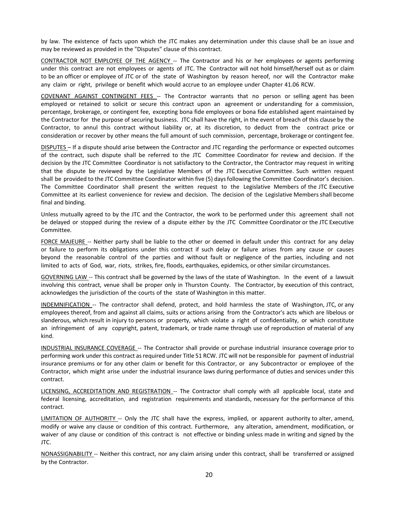by law. The existence of facts upon which the JTC makes any determination under this clause shall be an issue and may be reviewed as provided in the "Disputes" clause of this contract.

CONTRACTOR NOT EMPLOYEE OF THE AGENCY -- The Contractor and his or her employees or agents performing under this contract are not employees or agents of JTC. The Contractor will not hold himself/herself out as or claim to be an officer or employee of JTC or of the state of Washington by reason hereof, nor will the Contractor make any claim or right, privilege or benefit which would accrue to an employee under Chapter 41.06 RCW.

COVENANT AGAINST CONTINGENT FEES -- The Contractor warrants that no person or selling agent has been employed or retained to solicit or secure this contract upon an agreement or understanding for a commission, percentage, brokerage, or contingent fee, excepting bona fide employees or bona fide established agent maintained by the Contractor for the purpose of securing business. JTC shall have the right, in the event of breach of this clause by the Contractor, to annul this contract without liability or, at its discretion, to deduct from the contract price or consideration or recover by other means the full amount of such commission, percentage, brokerage or contingent fee.

DISPUTES – If a dispute should arise between the Contractor and JTC regarding the performance or expected outcomes of the contract, such dispute shall be referred to the JTC Committee Coordinator for review and decision. If the decision by the JTC Committee Coordinator is not satisfactory to the Contractor, the Contractor may request in writing that the dispute be reviewed by the Legislative Members of the JTC Executive Committee. Such written request shall be provided to the JTC Committee Coordinator within five (5) daysfollowing the Committee Coordinator's decision. The Committee Coordinator shall present the written request to the Legislative Members of the JTC Executive Committee at its earliest convenience for review and decision. The decision of the Legislative Members shall become final and binding.

Unless mutually agreed to by the JTC and the Contractor, the work to be performed under this agreement shall not be delayed or stopped during the review of a dispute either by the JTC Committee Coordinator or the JTC Executive Committee.

FORCE MAJEURE -- Neither party shall be liable to the other or deemed in default under this contract for any delay or failure to perform its obligations under this contract if such delay or failure arises from any cause or causes beyond the reasonable control of the parties and without fault or negligence of the parties, including and not limited to acts of God, war, riots, strikes, fire, floods, earthquakes, epidemics, or other similar circumstances.

GOVERNING LAW -- This contract shall be governed by the laws of the state of Washington. In the event of a lawsuit involving this contract, venue shall be proper only in Thurston County. The Contractor, by execution of this contract, acknowledges the jurisdiction of the courts of the state of Washington in this matter.

INDEMNIFICATION -- The contractor shall defend, protect, and hold harmless the state of Washington, JTC, or any employees thereof, from and against all claims, suits or actions arising from the Contractor's acts which are libelous or slanderous, which result in injury to persons or property, which violate a right of confidentiality, or which constitute an infringement of any copyright, patent, trademark, or trade name through use of reproduction of material of any kind.

INDUSTRIAL INSURANCE COVERAGE -- The Contractor shall provide or purchase industrial insurance coverage prior to performing work under this contract as required under Title 51 RCW. JTC will not be responsible for payment of industrial insurance premiums or for any other claim or benefit for this Contractor, or any Subcontractor or employee of the Contractor, which might arise under the industrial insurance laws during performance of duties and services under this contract.

LICENSING, ACCREDITATION AND REGISTRATION -- The Contractor shall comply with all applicable local, state and federal licensing, accreditation, and registration requirements and standards, necessary for the performance of this contract.

LIMITATION OF AUTHORITY -- Only the JTC shall have the express, implied, or apparent authority to alter, amend, modify or waive any clause or condition of this contract. Furthermore, any alteration, amendment, modification, or waiver of any clause or condition of this contract is not effective or binding unless made in writing and signed by the JTC.

NONASSIGNABILITY -- Neither this contract, nor any claim arising under this contract, shall be transferred or assigned by the Contractor.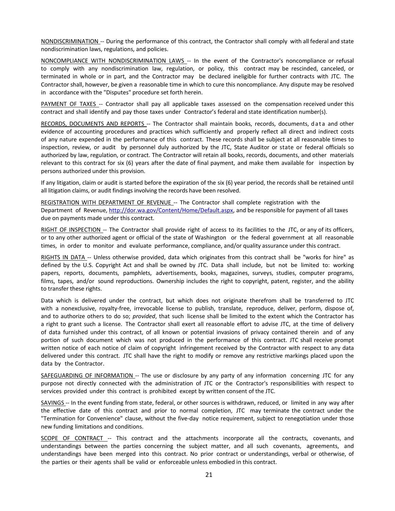NONDISCRIMINATION -- During the performance of this contract, the Contractor shall comply with all federal and state nondiscrimination laws, regulations, and policies.

NONCOMPLIANCE WITH NONDISCRIMINATION LAWS -- In the event of the Contractor's noncompliance or refusal to comply with any nondiscrimination law, regulation, or policy, this contract may be rescinded, canceled, or terminated in whole or in part, and the Contractor may be declared ineligible for further contracts with JTC. The Contractor shall, however, be given a reasonable time in which to cure this noncompliance. Any dispute may be resolved in accordance with the "Disputes" procedure set forth herein.

PAYMENT OF TAXES -- Contractor shall pay all applicable taxes assessed on the compensation received under this contract and shall identify and pay those taxes under Contractor's federal and state identification number(s).

RECORDS, DOCUMENTS AND REPORTS -- The Contractor shall maintain books, records, documents, data and other evidence of accounting procedures and practices which sufficiently and properly reflect all direct and indirect costs of any nature expended in the performance of this contract. These records shall be subject at all reasonable times to inspection, review, or audit by personnel duly authorized by the JTC, State Auditor or state or federal officials so authorized by law, regulation, or contract. The Contractor will retain all books, records, documents, and other materials relevant to this contract for six (6) years after the date of final payment, and make them available for inspection by persons authorized under this provision.

If any litigation, claim or audit is started before the expiration of the six (6) year period, the records shall be retained until all litigation claims, or audit findings involving the records have been resolved.

REGISTRATION WITH DEPARTMENT OF REVENUE -- The Contractor shall complete registration with the Department of Revenue, [http://dor.wa.gov/Content/Home/Default.aspx,](http://dor.wa.gov/Content/Home/Default.aspx) and be responsible for payment of all taxes due on payments made under this contract.

RIGHT OF INSPECTION -- The Contractor shall provide right of access to its facilities to the JTC, or any of its officers, or to any other authorized agent or official of the state of Washington or the federal government at all reasonable times, in order to monitor and evaluate performance, compliance, and/or quality assurance under this contract.

RIGHTS IN DATA -- Unless otherwise provided, data which originates from this contract shall be "works for hire" as defined by the U.S. Copyright Act and shall be owned by JTC. Data shall include, but not be limited to: working papers, reports, documents, pamphlets, advertisements, books, magazines, surveys, studies, computer programs, films, tapes, and/or sound reproductions. Ownership includes the right to copyright, patent, register, and the ability to transfer these rights.

Data which is delivered under the contract, but which does not originate therefrom shall be transferred to JTC with a nonexclusive, royalty-free, irrevocable license to publish, translate, reproduce, deliver, perform, dispose of, and to authorize others to do so; *provided*, that such license shall be limited to the extent which the Contractor has a right to grant such a license. The Contractor shall exert all reasonable effort to advise JTC, at the time of delivery of data furnished under this contract, of all known or potential invasions of privacy contained therein and of any portion of such document which was not produced in the performance of this contract. JTC shall receive prompt written notice of each notice of claim of copyright infringement received by the Contractor with respect to any data delivered under this contract. JTC shall have the right to modify or remove any restrictive markings placed upon the data by the Contractor.

SAFEGUARDING OF INFORMATION -- The use or disclosure by any party of any information concerning JTC for any purpose not directly connected with the administration of JTC or the Contractor's responsibilities with respect to services provided under this contract is prohibited except by written consent of the JTC.

SAVINGS -- In the event funding from state, federal, or other sources is withdrawn, reduced, or limited in any way after the effective date of this contract and prior to normal completion, JTC may terminate the contract under the "Termination for Convenience" clause, without the five-day notice requirement, subject to renegotiation under those new funding limitations and conditions.

SCOPE OF CONTRACT -- This contract and the attachments incorporate all the contracts, covenants, and understandings between the parties concerning the subject matter, and all such covenants, agreements, and understandings have been merged into this contract. No prior contract or understandings, verbal or otherwise, of the parties or their agents shall be valid or enforceable unless embodied in this contract.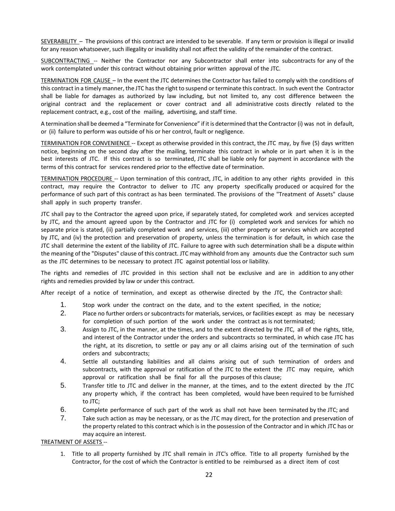SEVERABILITY – The provisions of this contract are intended to be severable. If any term or provision is illegal or invalid for any reason whatsoever, such illegality or invalidity shall not affect the validity of the remainder of the contract.

SUBCONTRACTING -- Neither the Contractor nor any Subcontractor shall enter into subcontracts for any of the work contemplated under this contract without obtaining prior written approval of the JTC.

TERMINATION FOR CAUSE – In the event the JTC determines the Contractor has failed to comply with the conditions of this contract in a timely manner, the JTC has the right to suspend or terminate this contract. In such event the Contractor shall be liable for damages as authorized by law including, but not limited to, any cost difference between the original contract and the replacement or cover contract and all administrative costs directly related to the replacement contract, e.g., cost of the mailing, advertising, and staff time.

A termination shall be deemed a "Terminate for Convenience" if it is determined that the Contractor (i) was not in default, or (ii) failure to perform was outside of his or her control, fault or negligence.

TERMINATION FOR CONVENIENCE -- Except as otherwise provided in this contract, the JTC may, by five (5) days written notice, beginning on the second day after the mailing, terminate this contract in whole or in part when it is in the best interests of JTC. If this contract is so terminated, JTC shall be liable only for payment in accordance with the terms of this contract for services rendered prior to the effective date of termination.

TERMINATION PROCEDURE -- Upon termination of this contract, JTC, in addition to any other rights provided in this contract, may require the Contractor to deliver to JTC any property specifically produced or acquired for the performance of such part of this contract as has been terminated. The provisions of the "Treatment of Assets" clause shall apply in such property transfer.

JTC shall pay to the Contractor the agreed upon price, if separately stated, for completed work and services accepted by JTC, and the amount agreed upon by the Contractor and JTC for (i) completed work and services for which no separate price is stated, (ii) partially completed work and services, (iii) other property or services which are accepted by JTC, and (iv) the protection and preservation of property, unless the termination is for default, in which case the JTC shall determine the extent of the liability of JTC. Failure to agree with such determination shall be a dispute within the meaning of the "Disputes" clause of this contract. JTC may withhold from any amounts due the Contractor such sum as the JTC determines to be necessary to protect JTC against potential loss or liability.

The rights and remedies of JTC provided in this section shall not be exclusive and are in addition to any other rights and remedies provided by law or under this contract.

After receipt of a notice of termination, and except as otherwise directed by the JTC, the Contractor shall:

- 1. Stop work under the contract on the date, and to the extent specified, in the notice;
- 2. Place no further orders or subcontracts for materials, services, or facilities except as may be necessary for completion of such portion of the work under the contract as is not terminated;
- 3. Assign to JTC, in the manner, at the times, and to the extent directed by the JTC, all of the rights, title, and interest of the Contractor under the orders and subcontracts so terminated, in which case JTC has the right, at its discretion, to settle or pay any or all claims arising out of the termination of such orders and subcontracts;
- 4. Settle all outstanding liabilities and all claims arising out of such termination of orders and subcontracts, with the approval or ratification of the JTC to the extent the JTC may require, which approval or ratification shall be final for all the purposes of this clause;
- 5. Transfer title to JTC and deliver in the manner, at the times, and to the extent directed by the JTC any property which, if the contract has been completed, would have been required to be furnished to JTC;
- 6. Complete performance of such part of the work as shall not have been terminated by the JTC; and
- 7. Take such action as may be necessary, or as the JTC may direct, for the protection and preservation of the property related to this contract which is in the possession of the Contractor and in which JTC has or may acquire an interest.

TREATMENT OF ASSETS --

1. Title to all property furnished by JTC shall remain in JTC's office. Title to all property furnished by the Contractor, for the cost of which the Contractor is entitled to be reimbursed as a direct item of cost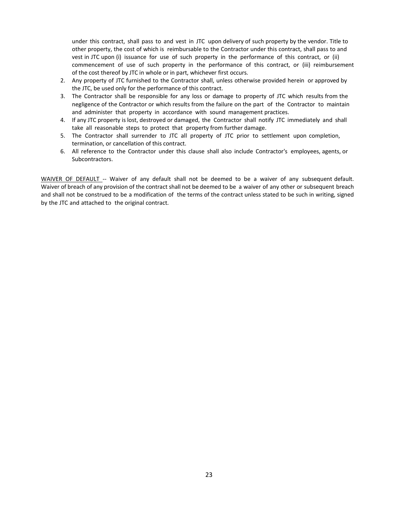under this contract, shall pass to and vest in JTC upon delivery of such property by the vendor. Title to other property, the cost of which is reimbursable to the Contractor under this contract, shall pass to and vest in JTC upon (i) issuance for use of such property in the performance of this contract, or (ii) commencement of use of such property in the performance of this contract, or (iii) reimbursement of the cost thereof by JTC in whole or in part, whichever first occurs.

- 2. Any property of JTC furnished to the Contractor shall, unless otherwise provided herein or approved by the JTC, be used only for the performance of this contract.
- 3. The Contractor shall be responsible for any loss or damage to property of JTC which results from the negligence of the Contractor or which results from the failure on the part of the Contractor to maintain and administer that property in accordance with sound management practices.
- 4. If any JTC property is lost, destroyed or damaged, the Contractor shall notify JTC immediately and shall take all reasonable steps to protect that property from further damage.
- 5. The Contractor shall surrender to JTC all property of JTC prior to settlement upon completion, termination, or cancellation of this contract.
- 6. All reference to the Contractor under this clause shall also include Contractor's employees, agents, or Subcontractors.

WAIVER OF DEFAULT -- Waiver of any default shall not be deemed to be a waiver of any subsequent default. Waiver of breach of any provision of the contract shall not be deemed to be a waiver of any other or subsequent breach and shall not be construed to be a modification of the terms of the contract unless stated to be such in writing, signed by the JTC and attached to the original contract.